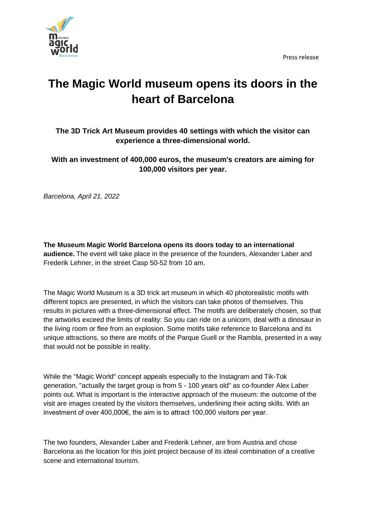



## **The Magic World museum opens its doors in the heart of Barcelona**

**The 3D Trick Art Museum provides 40 settings with which the visitor can experience a three-dimensional world.**

**With an investment of 400,000 euros, the museum's creators are aiming for 100,000 visitors per year.**

*Barcelona, April 21, 2022*

**The Museum Magic World Barcelona opens its doors today to an international audience.** The event will take place in the presence of the founders, Alexander Laber and Frederik Lehner, in the street Casp 50-52 from 10 am.

The Magic World Museum is a 3D trick art museum in which 40 photorealistic motifs with different topics are presented, in which the visitors can take photos of themselves. This results in pictures with a three-dimensional effect. The motifs are deliberately chosen, so that the artworks exceed the limits of reality: So you can ride on a unicorn, deal with a dinosaur in the living room or flee from an explosion. Some motifs take reference to Barcelona and its unique attractions, so there are motifs of the Parque Guell or the Rambla, presented in a way that would not be possible in reality.

While the "Magic World" concept appeals especially to the Instagram and Tik-Tok generation, "actually the target group is from 5 - 100 years old" as co-founder Alex Laber points out. What is important is the interactive approach of the museum: the outcome of the visit are images created by the visitors themselves, underlining their acting skills. With an investment of over 400,000€, the aim is to attract 100,000 visitors per year.

The two founders, Alexander Laber and Frederik Lehner, are from Austria and chose Barcelona as the location for this joint project because of its ideal combination of a creative scene and international tourism.